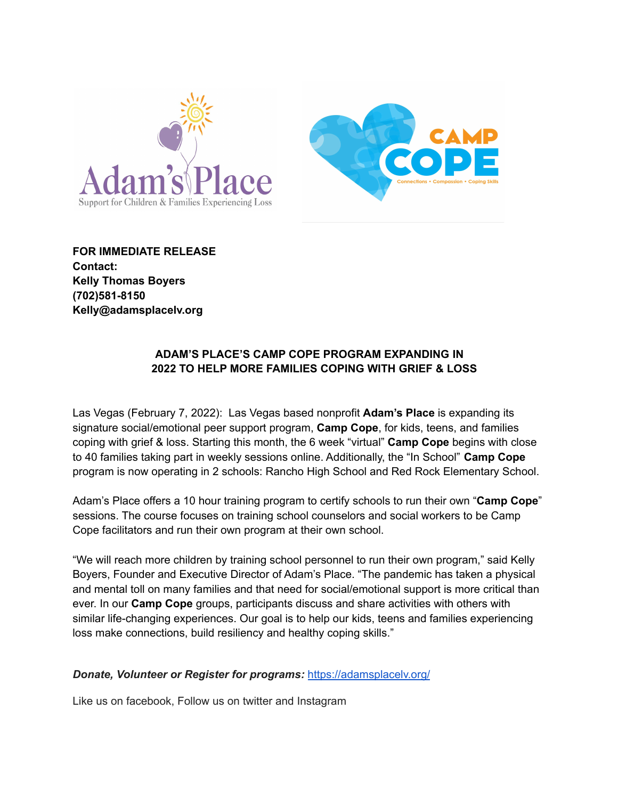



**FOR IMMEDIATE RELEASE Contact: Kelly Thomas Boyers (702)581-8150 Kelly@adamsplacelv.org**

## **ADAM'S PLACE'S CAMP COPE PROGRAM EXPANDING IN 2022 TO HELP MORE FAMILIES COPING WITH GRIEF & LOSS**

Las Vegas (February 7, 2022): Las Vegas based nonprofit **Adam's Place** is expanding its signature social/emotional peer support program, **Camp Cope**, for kids, teens, and families coping with grief & loss. Starting this month, the 6 week "virtual" **Camp Cope** begins with close to 40 families taking part in weekly sessions online. Additionally, the "In School" **Camp Cope** program is now operating in 2 schools: Rancho High School and Red Rock Elementary School.

Adam's Place offers a 10 hour training program to certify schools to run their own "**Camp Cope**" sessions. The course focuses on training school counselors and social workers to be Camp Cope facilitators and run their own program at their own school.

"We will reach more children by training school personnel to run their own program," said Kelly Boyers, Founder and Executive Director of Adam's Place. "The pandemic has taken a physical and mental toll on many families and that need for social/emotional support is more critical than ever. In our **Camp Cope** groups, participants discuss and share activities with others with similar life-changing experiences. Our goal is to help our kids, teens and families experiencing loss make connections, build resiliency and healthy coping skills."

## *Donate, Volunteer or Register for programs:* <https://adamsplacelv.org/>

Like us on facebook, Follow us on twitter and Instagram